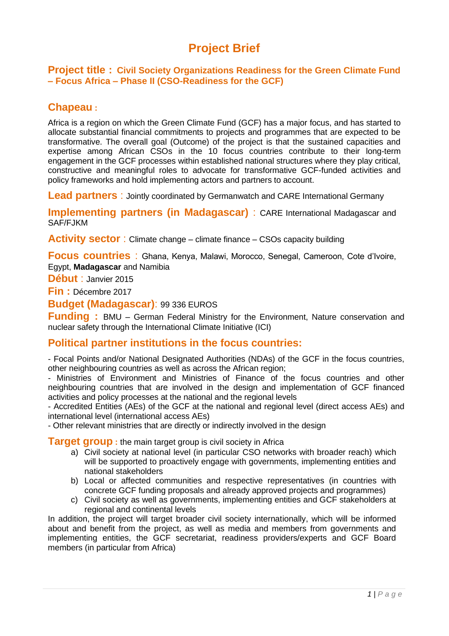# **Project Brief**

**Project title : Civil Society Organizations Readiness for the Green Climate Fund – Focus Africa – Phase II (CSO-Readiness for the GCF)**

# **Chapeau :**

Africa is a region on which the Green Climate Fund (GCF) has a major focus, and has started to allocate substantial financial commitments to projects and programmes that are expected to be transformative. The overall goal (Outcome) of the project is that the sustained capacities and expertise among African CSOs in the 10 focus countries contribute to their long-term engagement in the GCF processes within established national structures where they play critical, constructive and meaningful roles to advocate for transformative GCF-funded activities and policy frameworks and hold implementing actors and partners to account.

**Lead partners**: Jointly coordinated by Germanwatch and CARE International Germany

**Implementing partners (in Madagascar)** : CARE International Madagascar and SAF/FJKM

**Activity sector**: Climate change – climate finance – CSOs capacity building

**Focus countries** : Ghana, Kenya, Malawi, Morocco, Senegal, Cameroon, Cote d'Ivoire, Egypt, **Madagascar** and Namibia

**Début** : Janvier 2015

**Fin :** Décembre 2017

**Budget (Madagascar)**: 99 336 EUROS

**Funding :** BMU – German Federal Ministry for the Environment, Nature conservation and nuclear safety through the International Climate Initiative (ICI)

#### **Political partner institutions in the focus countries:**

- Focal Points and/or National Designated Authorities (NDAs) of the GCF in the focus countries, other neighbouring countries as well as across the African region;

- Ministries of Environment and Ministries of Finance of the focus countries and other neighbouring countries that are involved in the design and implementation of GCF financed activities and policy processes at the national and the regional levels

- Accredited Entities (AEs) of the GCF at the national and regional level (direct access AEs) and international level (international access AEs)

- Other relevant ministries that are directly or indirectly involved in the design

**Target group** : the main target group is civil society in Africa

- a) Civil society at national level (in particular CSO networks with broader reach) which will be supported to proactively engage with governments, implementing entities and national stakeholders
- b) Local or affected communities and respective representatives (in countries with concrete GCF funding proposals and already approved projects and programmes)
- c) Civil society as well as governments, implementing entities and GCF stakeholders at regional and continental levels

In addition, the project will target broader civil society internationally, which will be informed about and benefit from the project, as well as media and members from governments and implementing entities, the GCF secretariat, readiness providers/experts and GCF Board members (in particular from Africa)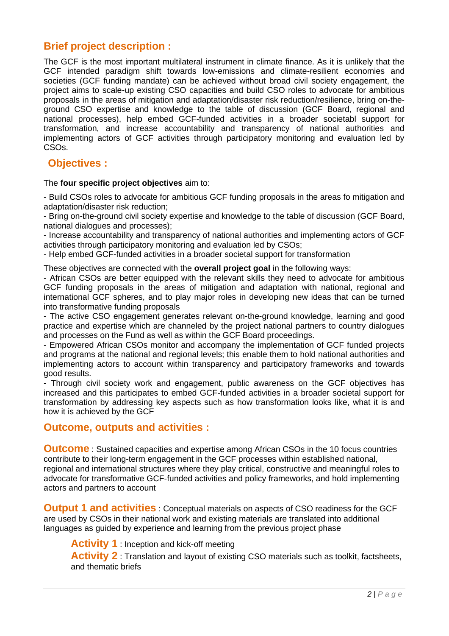# **Brief project description :**

The GCF is the most important multilateral instrument in climate finance. As it is unlikely that the GCF intended paradigm shift towards low-emissions and climate-resilient economies and societies (GCF funding mandate) can be achieved without broad civil society engagement, the project aims to scale-up existing CSO capacities and build CSO roles to advocate for ambitious proposals in the areas of mitigation and adaptation/disaster risk reduction/resilience, bring on-theground CSO expertise and knowledge to the table of discussion (GCF Board, regional and national processes), help embed GCF-funded activities in a broader societabl support for transformation, and increase accountability and transparency of national authorities and implementing actors of GCF activities through participatory monitoring and evaluation led by CSOs.

### **Objectives :**

The **four specific project objectives** aim to:

- Build CSOs roles to advocate for ambitious GCF funding proposals in the areas fo mitigation and adaptation/disaster risk reduction;

- Bring on-the-ground civil society expertise and knowledge to the table of discussion (GCF Board, national dialogues and processes);

- Increase accountability and transparency of national authorities and implementing actors of GCF activities through participatory monitoring and evaluation led by CSOs;

- Help embed GCF-funded activities in a broader societal support for transformation

These objectives are connected with the **overall project goal** in the following ways:

- African CSOs are better equipped with the relevant skills they need to advocate for ambitious GCF funding proposals in the areas of mitigation and adaptation with national, regional and international GCF spheres, and to play major roles in developing new ideas that can be turned into transformative funding proposals

- The active CSO engagement generates relevant on-the-ground knowledge, learning and good practice and expertise which are channeled by the project national partners to country dialogues and processes on the Fund as well as within the GCF Board proceedings.

- Empowered African CSOs monitor and accompany the implementation of GCF funded projects and programs at the national and regional levels; this enable them to hold national authorities and implementing actors to account within transparency and participatory frameworks and towards good results.

- Through civil society work and engagement, public awareness on the GCF objectives has increased and this participates to embed GCF-funded activities in a broader societal support for transformation by addressing key aspects such as how transformation looks like, what it is and how it is achieved by the GCF

#### **Outcome, outputs and activities :**

**Outcome** : Sustained capacities and expertise among African CSOs in the 10 focus countries contribute to their long-term engagement in the GCF processes within established national, regional and international structures where they play critical, constructive and meaningful roles to advocate for transformative GCF-funded activities and policy frameworks, and hold implementing actors and partners to account

**Output 1 and activities** : Conceptual materials on aspects of CSO readiness for the GCF are used by CSOs in their national work and existing materials are translated into additional languages as guided by experience and learning from the previous project phase

**Activity 1** : Inception and kick-off meeting

Activity 2 : Translation and layout of existing CSO materials such as toolkit, factsheets, and thematic briefs